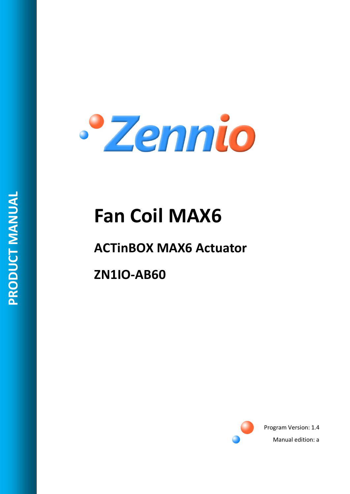

# **Fan Coil MAX6**

# **ACTinBOX MAX6 Actuator**

**ZN1IO-AB60**



Program Version: 1.4 Manual edition: a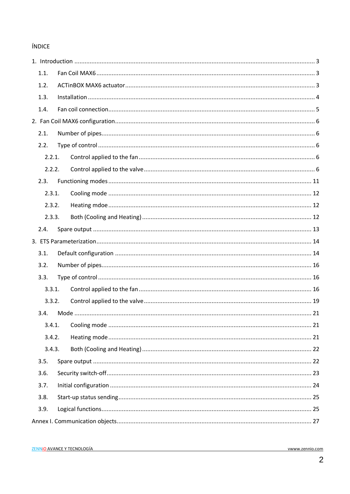### ÍNDICE

| 1.1.   |  |  |  |
|--------|--|--|--|
| 1.2.   |  |  |  |
| 1.3.   |  |  |  |
| 1.4.   |  |  |  |
|        |  |  |  |
| 2.1.   |  |  |  |
| 2.2.   |  |  |  |
| 2.2.1. |  |  |  |
| 2.2.2. |  |  |  |
| 2.3.   |  |  |  |
| 2.3.1. |  |  |  |
| 2.3.2. |  |  |  |
| 2.3.3. |  |  |  |
| 2.4.   |  |  |  |
|        |  |  |  |
| 3.1.   |  |  |  |
| 3.2.   |  |  |  |
| 3.3.   |  |  |  |
| 3.3.1. |  |  |  |
| 3.3.2. |  |  |  |
| 3.4.   |  |  |  |
| 3.4.1. |  |  |  |
| 3.4.2. |  |  |  |
| 3.4.3. |  |  |  |
| 3.5.   |  |  |  |
| 3.6.   |  |  |  |
| 3.7.   |  |  |  |
| 3.8.   |  |  |  |
| 3.9.   |  |  |  |
|        |  |  |  |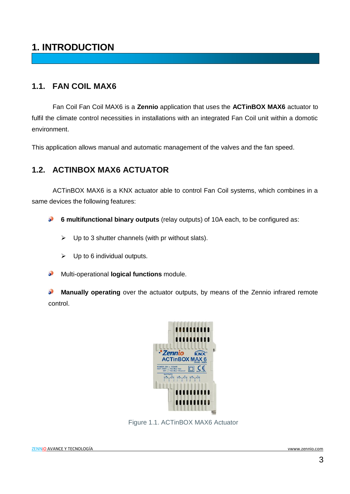# <span id="page-2-0"></span>**1. INTRODUCTION**

### <span id="page-2-1"></span>**1.1. FAN COIL MAX6**

Fan Coil Fan Coil MAX6 is a **Zennio** application that uses the **ACTinBOX MAX6** actuator to fulfil the climate control necessities in installations with an integrated Fan Coil unit within a domotic environment.

This application allows manual and automatic management of the valves and the fan speed.

### <span id="page-2-2"></span>**1.2. ACTINBOX MAX6 ACTUATOR**

ACTinBOX MAX6 is a KNX actuator able to control Fan Coil systems, which combines in a same devices the following features:

53 **6 multifunctional binary outputs** (relay outputs) of 10A each, to be configured as:

- $\triangleright$  Up to 3 shutter channels (with pr without slats).
- $\triangleright$  Up to 6 individual outputs.
- Multi-operational **logical functions** module. D

**Manually operating** over the actuator outputs, by means of the Zennio infrared remote  $\bullet$ control.



Figure 1.1. ACTinBOX MAX6 Actuator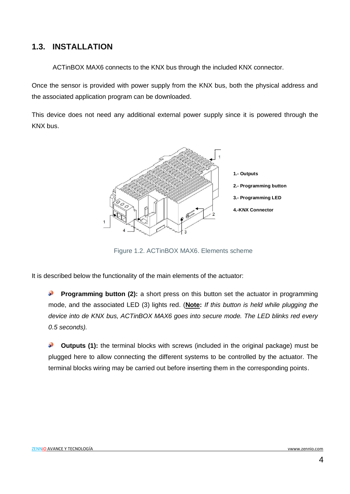### <span id="page-3-0"></span>**1.3. INSTALLATION**

ACTinBOX MAX6 connects to the KNX bus through the included KNX connector.

Once the sensor is provided with power supply from the KNX bus, both the physical address and the associated application program can be downloaded.

This device does not need any additional external power supply since it is powered through the KNX bus.



Figure 1.2. ACTinBOX MAX6. Elements scheme

It is described below the functionality of the main elements of the actuator:

**Programming button (2):** a short press on this button set the actuator in programming **Superior** mode, and the associated LED (3) lights red. (**Note:** *If this button is held while plugging the device into de KNX bus, ACTinBOX MAX6 goes into secure mode. The LED blinks red every 0.5 seconds).*

D **Outputs (1):** the terminal blocks with screws (included in the original package) must be plugged here to allow connecting the different systems to be controlled by the actuator. The terminal blocks wiring may be carried out before inserting them in the corresponding points.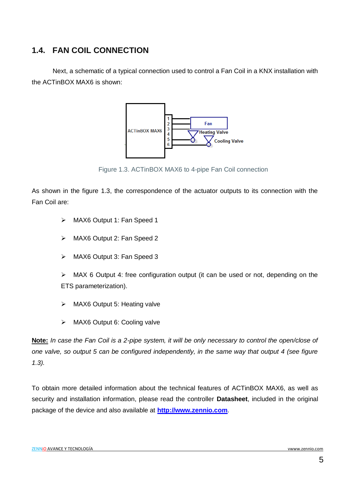### <span id="page-4-0"></span>**1.4. FAN COIL CONNECTION**

Next, a schematic of a typical connection used to control a Fan Coil in a KNX installation with the ACTinBOX MAX6 is shown:



Figure 1.3. ACTinBOX MAX6 to 4-pipe Fan Coil connection

As shown in the figure 1.3, the correspondence of the actuator outputs to its connection with the Fan Coil are:

- > MAX6 Output 1: Fan Speed 1
- > MAX6 Output 2: Fan Speed 2
- > MAX6 Output 3: Fan Speed 3

 $\triangleright$  MAX 6 Output 4: free configuration output (it can be used or not, depending on the ETS parameterization).

- > MAX6 Output 5: Heating valve
- > MAX6 Output 6: Cooling valve

**Note:** *In case the Fan Coil is a 2-pipe system, it will be only necessary to control the open/close of one valve, so output 5 can be configured independently, in the same way that output 4 (see figure 1.3).*

To obtain more detailed information about the technical features of ACTinBOX MAX6, as well as security and installation information, please read the controller **Datasheet**, included in the original package of the device and also available at **[http://www.zennio.com](http://www.zennio.com/)**.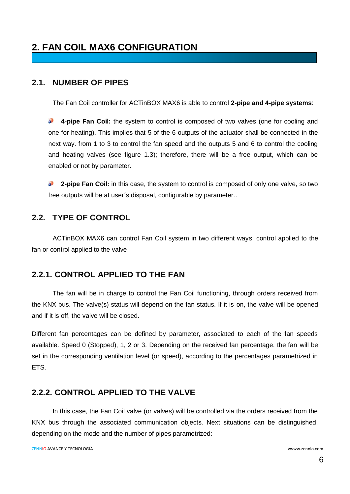# <span id="page-5-0"></span>**2. FAN COIL MAX6 CONFIGURATION**

### <span id="page-5-1"></span>**2.1. NUMBER OF PIPES**

The Fan Coil controller for ACTinBOX MAX6 is able to control **2-pipe and 4-pipe systems**:

**SP 4-pipe Fan Coil:** the system to control is composed of two valves (one for cooling and one for heating). This implies that 5 of the 6 outputs of the actuator shall be connected in the next way. from 1 to 3 to control the fan speed and the outputs 5 and 6 to control the cooling and heating valves (see figure 1.3); therefore, there will be a free output, which can be enabled or not by parameter.

**2-pipe Fan Coil:** in this case, the system to control is composed of only one valve, so two S free outputs will be at user´s disposal, configurable by parameter..

### <span id="page-5-2"></span>**2.2. TYPE OF CONTROL**

ACTinBOX MAX6 can control Fan Coil system in two different ways: control applied to the fan or control applied to the valve.

### <span id="page-5-3"></span>**2.2.1. CONTROL APPLIED TO THE FAN**

The fan will be in charge to control the Fan Coil functioning, through orders received from the KNX bus. The valve(s) status will depend on the fan status. If it is on, the valve will be opened and if it is off, the valve will be closed.

Different fan percentages can be defined by parameter, associated to each of the fan speeds available. Speed 0 (Stopped), 1, 2 or 3. Depending on the received fan percentage, the fan will be set in the corresponding ventilation level (or speed), according to the percentages parametrized in ETS.

### <span id="page-5-4"></span>**2.2.2. CONTROL APPLIED TO THE VALVE**

In this case, the Fan Coil valve (or valves) will be controlled via the orders received from the KNX bus through the associated communication objects. Next situations can be distinguished, depending on the mode and the number of pipes parametrized: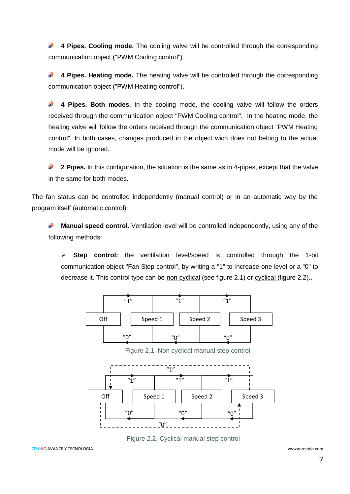D **4 Pipes. Cooling mode.** The cooling valve will be controlled through the corresponding communication object ("PWM Cooling control").

S **4 Pipes. Heating mode.** The heating valve will be controlled through the corresponding communication object ("PWM Heating control").

**4 Pipes. Both modes.** In the cooling mode, the cooling valve will follow the orders S received through the communication object "PWM Cooling control". In the heating mode, the heating valve will follow the orders received through the communication object "PWM Heating control". In both cases, changes produced in the object wich does not belong to the actual mode will be ignored.

S **2 Pipes.** In this configuration, the situation is the same as in 4-pipes, except that the valve in the same for both modes.

The fan status can be controlled independently (manual control) or in an automatic way by the program itself (automatic control):

S. **Manual speed control.** Ventilation level will be controlled independently, using any of the following methods:

 **Step control:** the ventilation level/speed is controlled through the 1-bit communication object "Fan Step control", by writing a "1" to increase one level or a "0" to decrease it. This control type can be non cyclical (see figure 2.1) or cyclical (figure 2.2)..



Figure 2.1. Non cyclical manual step control





```
ZENNiO AVANCE Y TECNOLOGÍA vwww.zennio.com
```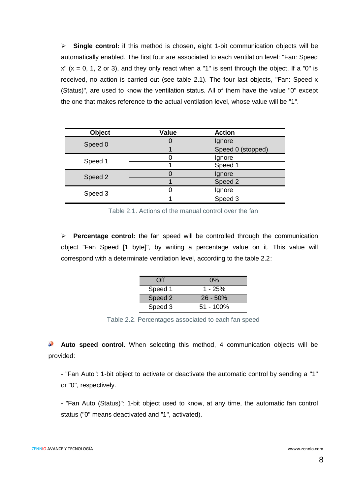**Single control:** if this method is chosen, eight 1-bit communication objects will be automatically enabled. The first four are associated to each ventilation level: "Fan: Speed  $x''$  ( $x = 0$ , 1, 2 or 3), and they only react when a "1" is sent through the object. If a "0" is received, no action is carried out (see table 2.1). The four last objects, "Fan: Speed x (Status)", are used to know the ventilation status. All of them have the value "0" except the one that makes reference to the actual ventilation level, whose value will be "1".

| <b>Object</b> | <b>Value</b> | <b>Action</b>     |
|---------------|--------------|-------------------|
| Speed 0       |              | Ignore            |
|               |              | Speed 0 (stopped) |
| Speed 1       |              | Ignore            |
|               |              | Speed 1           |
| Speed 2       |              | Ignore            |
|               |              | Speed 2           |
| Speed 3       |              | Ignore            |
|               |              | Speed 3           |

Table 2.1. Actions of the manual control over the fan

 **Percentage control:** the fan speed will be controlled through the communication object "Fan Speed [1 byte]", by writing a percentage value on it. This value will correspond with a determinate ventilation level, according to the table 2.2:

| ∩ff     | $0\%$       |
|---------|-------------|
| Speed 1 | $1 - 25%$   |
| Speed 2 | $26 - 50%$  |
| Speed 3 | $51 - 100%$ |

Table 2.2. Percentages associated to each fan speed

53 **Auto speed control.** When selecting this method, 4 communication objects will be provided:

- "Fan Auto": 1-bit object to activate or deactivate the automatic control by sending a "1" or "0", respectively.

- "Fan Auto (Status)": 1-bit object used to know, at any time, the automatic fan control status ("0" means deactivated and "1", activated).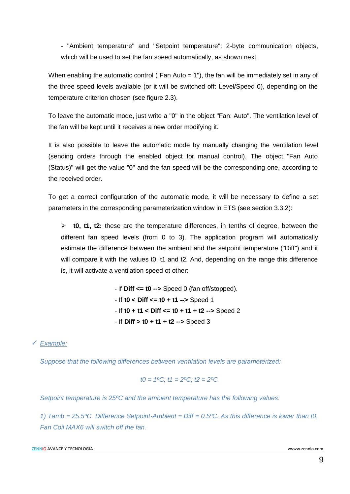- "Ambient temperature" and "Setpoint temperature": 2-byte communication objects, which will be used to set the fan speed automatically, as shown next.

When enabling the automatic control ("Fan Auto = 1"), the fan will be immediately set in any of the three speed levels available (or it will be switched off: Level/Speed 0), depending on the temperature criterion chosen (see figure 2.3).

To leave the automatic mode, just write a "0" in the object "Fan: Auto". The ventilation level of the fan will be kept until it receives a new order modifying it.

It is also possible to leave the automatic mode by manually changing the ventilation level (sending orders through the enabled object for manual control). The object "Fan Auto (Status)" will get the value "0" and the fan speed will be the corresponding one, according to the received order.

To get a correct configuration of the automatic mode, it will be necessary to define a set parameters in the corresponding parameterization window in ETS (see section 3.3.2):

 **t0, t1, t2:** these are the temperature differences, in tenths of degree, between the different fan speed levels (from 0 to 3). The application program will automatically estimate the difference between the ambient and the setpoint temperature ("Diff") and it will compare it with the values t0, t1 and t2. And, depending on the range this difference is, it will activate a ventilation speed ot other:

> - If **Diff <= t0 -->** Speed 0 (fan off/stopped). - If **t0 < Diff <= t0 + t1 -->** Speed 1 - If **t0 + t1 < Diff <= t0 + t1 + t2 -->** Speed 2 - If **Diff > t0 + t1 + t2 -->** Speed 3

*Example:*

*Suppose that the following differences between ventilation levels are parameterized:*

$$
t0 = 1^{\circ}\text{C}; t1 = 2^{\circ}\text{C}; t2 = 2^{\circ}\text{C}
$$

*Setpoint temperature is 25ºC and the ambient temperature has the following values:*

*1) Tamb = 25.5ºC. Difference Setpoint-Ambient = Diff = 0.5ºC. As this difference is lower than t0, Fan Coil MAX6 will switch off the fan.*

ZENNiO AVANCE Y TECNOLOGÍA vwww.zennio.com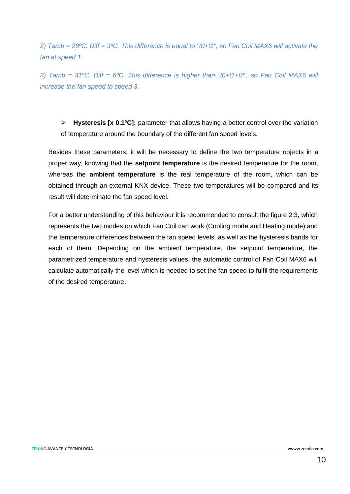*2) Tamb = 28ºC. Diff = 3ºC. This difference is equal to "t0+t1", so Fan Coil MAX6 will activate the fan at speed 1.*

*3) Tamb = 31ºC. Diff = 6ºC. This difference is higher than "t0+t1+t2", so Fan Coil MAX6 will increase the fan speed to speed 3.*

 **Hysteresis [x 0.1ºC]:** parameter that allows having a better control over the variation of temperature around the boundary of the different fan speed levels.

Besides these parameters, it will be necessary to define the two temperature objects in a proper way, knowing that the **setpoint temperature** is the desired temperature for the room, whereas the **ambient temperature** is the real temperature of the room, which can be obtained through an external KNX device. These two temperatures will be compared and its result will determinate the fan speed level.

For a better understanding of this behaviour it is recommended to consult the figure 2.3, which represents the two modes on which Fan Coil can work (Cooling mode and Heating mode) and the temperature differences between the fan speed levels, as well as the hysteresis bands for each of them. Depending on the ambient temperature, the setpoint temperature, the parametrized temperature and hysteresis values, the automatic control of Fan Coil MAX6 will calculate automatically the level which is needed to set the fan speed to fulfil the requirements of the desired temperature.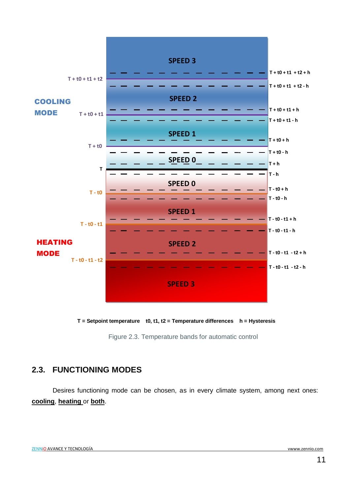

**T = Setpoint temperature t0, t1, t2 = Temperature differences h = Hysteresis**

Figure 2.3. Temperature bands for automatic control

### <span id="page-10-0"></span>**2.3. FUNCTIONING MODES**

Desires functioning mode can be chosen, as in every climate system, among next ones: **cooling**, **heating** or **both**.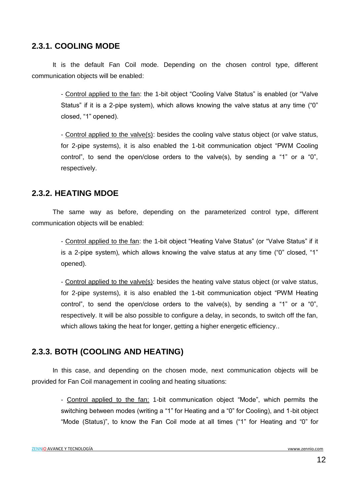### <span id="page-11-0"></span>**2.3.1. COOLING MODE**

It is the default Fan Coil mode. Depending on the chosen control type, different communication objects will be enabled:

> - Control applied to the fan: the 1-bit object "Cooling Valve Status" is enabled (or "Valve Status" if it is a 2-pipe system), which allows knowing the valve status at any time ("0" closed, "1" opened).

> - Control applied to the valve(s): besides the cooling valve status object (or valve status, for 2-pipe systems), it is also enabled the 1-bit communication object "PWM Cooling control", to send the open/close orders to the valve(s), by sending a "1" or a "0", respectively.

### <span id="page-11-1"></span>**2.3.2. HEATING MDOE**

The same way as before, depending on the parameterized control type, different communication objects will be enabled:

> - Control applied to the fan: the 1-bit object "Heating Valve Status" (or "Valve Status" if it is a 2-pipe system), which allows knowing the valve status at any time ("0" closed, "1" opened).

> - Control applied to the valve(s): besides the heating valve status object (or valve status, for 2-pipe systems), it is also enabled the 1-bit communication object "PWM Heating control", to send the open/close orders to the valve(s), by sending a "1" or a "0", respectively. It will be also possible to configure a delay, in seconds, to switch off the fan, which allows taking the heat for longer, getting a higher energetic efficiency..

### <span id="page-11-2"></span>**2.3.3. BOTH (COOLING AND HEATING)**

In this case, and depending on the chosen mode, next communication objects will be provided for Fan Coil management in cooling and heating situations:

> - Control applied to the fan: 1-bit communication object "Mode", which permits the switching between modes (writing a "1" for Heating and a "0" for Cooling), and 1-bit object "Mode (Status)", to know the Fan Coil mode at all times ("1" for Heating and "0" for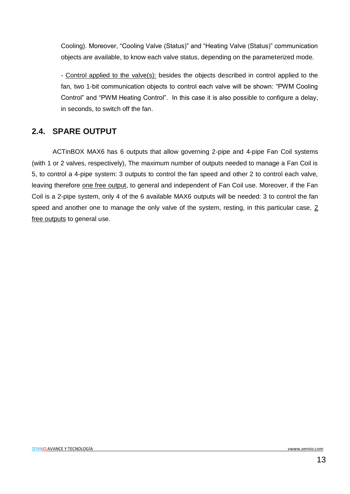Cooling). Moreover, "Cooling Valve (Status)" and "Heating Valve (Status)" communication objects are available, to know each valve status, depending on the parameterized mode.

- Control applied to the valve(s): besides the objects described in control applied to the fan, two 1-bit communication objects to control each valve will be shown: "PWM Cooling Control" and "PWM Heating Control". In this case it is also possible to configure a delay, in seconds, to switch off the fan.

### <span id="page-12-0"></span>**2.4. SPARE OUTPUT**

ACTinBOX MAX6 has 6 outputs that allow governing 2-pipe and 4-pipe Fan Coil systems (with 1 or 2 valves, respectively), The maximum number of outputs needed to manage a Fan Coil is 5, to control a 4-pipe system: 3 outputs to control the fan speed and other 2 to control each valve, leaving therefore one free output, to general and independent of Fan Coil use. Moreover, if the Fan Coil is a 2-pipe system, only 4 of the 6 available MAX6 outputs will be needed: 3 to control the fan speed and another one to manage the only valve of the system, resting, in this particular case,  $2$ free outputs to general use.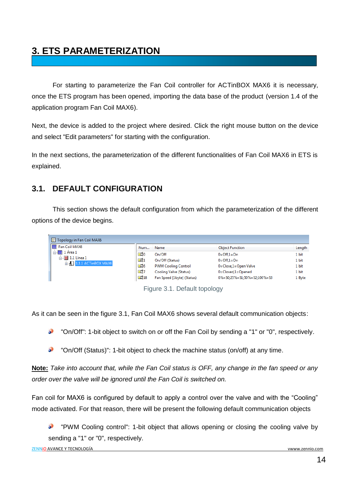# <span id="page-13-0"></span>**3. ETS PARAMETERIZATION**

For starting to parameterize the Fan Coil controller for ACTinBOX MAX6 it is necessary, once the ETS program has been opened, importing the data base of the product (version 1.4 of the application program Fan Coil MAX6).

Next, the device is added to the project where desired. Click the right mouse button on the device and select "Edit parameters" for starting with the configuration.

In the next sections, the parameterization of the different functionalities of Fan Coil MAX6 in ETS is explained.

### <span id="page-13-1"></span>**3.1. DEFAULT CONFIGURATION**

This section shows the default configuration from which the parameterization of the different options of the device begins.

|  | Topology in Fan Coil MAX6                                   |           |                            |                             |        |
|--|-------------------------------------------------------------|-----------|----------------------------|-----------------------------|--------|
|  | Fan Coil MAX6                                               | Num       | Name                       | <b>Object Function</b>      | Length |
|  | $\mathbb{H}$ 1 Área 1                                       | 모기0       | On/Off                     | $0=$ Off.1 = On             | 1 bit  |
|  | $\Box$ $\Box$ 1.1 Línea 1<br><b>E-H</b> 1.1.1 ACTinBOX MAX6 | ■라1       | On/Off (Status)            | $0=$ Off.1 = On             | 1 bit  |
|  |                                                             | $\Box$ 6  | <b>PWM Cooling Control</b> | 0=Close,1=Open Valve        | 1 bit  |
|  |                                                             | ■리7       | Cooling Valve (Status)     | $0 = Closed_1 = Opened$     | 1 bit  |
|  |                                                             | $\Box$ 18 | Fan Speed [1byte] (Status) | 0%=S0;25%=S1;50%=S2;100%=S3 | 1 Byte |

Figure 3.1. Default topology

As it can be seen in the figure 3.1, Fan Coil MAX6 shows several default communication objects:

"On/Off": 1-bit object to switch on or off the Fan Coil by sending a "1" or "0", respectively.

"On/Off (Status)": 1-bit object to check the machine status (on/off) at any time.

**Note:** *Take into account that, while the Fan Coil status is OFF, any change in the fan speed or any order over the valve will be ignored until the Fan Coil is switched on.*

Fan coil for MAX6 is configured by default to apply a control over the valve and with the "Cooling" mode activated. For that reason, there will be present the following default communication objects

53 "PWM Cooling control": 1-bit object that allows opening or closing the cooling valve by sending a "1" or "0", respectively.

ZENNiO AVANCE Y TECNOLOGÍA vwww.zennio.com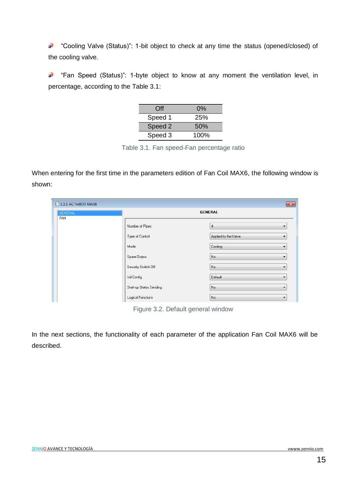53 "Cooling Valve (Status)": 1-bit object to check at any time the status (opened/closed) of the cooling valve.

"Fan Speed (Status)": 1-byte object to know at any moment the ventilation level, in D percentage, according to the Table 3.1:

| Off     | $0\%$ |
|---------|-------|
| Speed 1 | 25%   |
| Speed 2 | 50%   |
| Speed 3 | 100%  |

Table 3.1. Fan speed-Fan percentage ratio

When entering for the first time in the parameters edition of Fan Coil MAX6, the following window is shown:

| <b>1.1.1 ACTINBOX MAX6</b> |                         | $\mathbf{x}$                    |
|----------------------------|-------------------------|---------------------------------|
| <b>GENERAL</b><br>FAN      |                         | <b>GENERAL</b>                  |
|                            | Number of Pipes         | 4<br>▼                          |
|                            | Type of Control         | Applied to the Valve<br>۰       |
|                            | Mode                    | Cooling<br>▼                    |
|                            | Spare Output            | No.<br>$\overline{\phantom{a}}$ |
|                            | Security Switch-Off     | No<br>$\overline{\phantom{a}}$  |
|                            | Init Config             | Default<br>▼                    |
|                            | Start-up Status Sending | No<br>$\blacktriangledown$      |
|                            | Logical Functions       | No<br>▼                         |

Figure 3.2. Default general window

In the next sections, the functionality of each parameter of the application Fan Coil MAX6 will be described.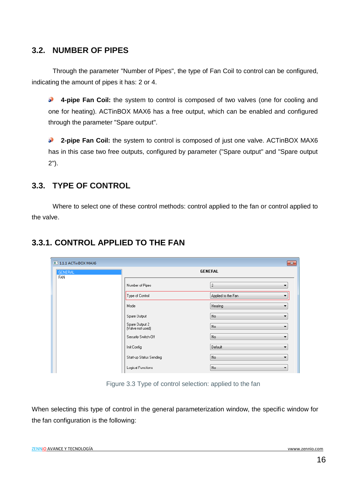### <span id="page-15-0"></span>**3.2. NUMBER OF PIPES**

Through the parameter "Number of Pipes", the type of Fan Coil to control can be configured, indicating the amount of pipes it has: 2 or 4.

53 **4-pipe Fan Coil:** the system to control is composed of two valves (one for cooling and one for heating). ACTinBOX MAX6 has a free output, which can be enabled and configured through the parameter "Spare output".

 $\mathbf{L}$ **2-pipe Fan Coil:** the system to control is composed of just one valve. ACTinBOX MAX6 has in this case two free outputs, configured by parameter ("Spare output" and "Spare output 2").

### <span id="page-15-1"></span>**3.3. TYPE OF CONTROL**

Where to select one of these control methods: control applied to the fan or control applied to the valve.

| $\blacksquare$ 1.1.1 ACTinBOX MAX6 |                                    | $\mathbf{x}$                         |
|------------------------------------|------------------------------------|--------------------------------------|
| GENERAL                            | <b>GENERAL</b>                     |                                      |
| FAN                                | Number of Pipes                    | $\overline{c}$<br>▼                  |
|                                    | Type of Control                    | Applied to the Fan<br>$\blacksquare$ |
|                                    | Mode                               | Heating<br>▼                         |
|                                    | Spare Output                       | No<br>▼                              |
|                                    | Spare Output 2<br>(Valve not used) | No<br>▼                              |
|                                    | Security Switch-Off                | No.<br>▼                             |
|                                    | Init Config                        | Default<br>۰                         |
|                                    | Start-up Status Sending            | No<br>۰                              |
|                                    | Logical Functions                  | No<br>۰                              |

### <span id="page-15-2"></span>**3.3.1. CONTROL APPLIED TO THE FAN**

Figure 3.3 Type of control selection: applied to the fan

When selecting this type of control in the general parameterization window, the specific window for the fan configuration is the following: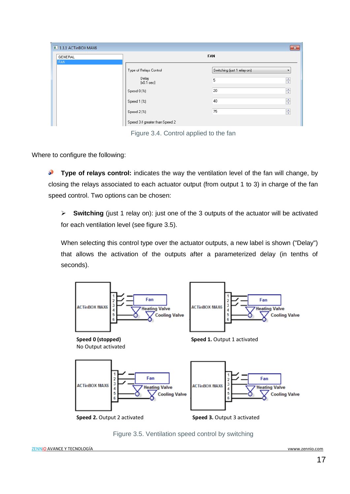| $\blacksquare$ 1.1.1 ACTinBOX MAX6<br>$-x$ |                                 |                             |  |
|--------------------------------------------|---------------------------------|-----------------------------|--|
| GENERAL<br><b>FAN</b>                      |                                 | <b>FAN</b>                  |  |
|                                            | Type of Relays Control          | Switching (just 1 relay on) |  |
|                                            | Delay<br>[x0.1 sec]             | $\frac{1}{\sqrt{2}}$<br>5   |  |
|                                            | Speed 0 (%)                     | 츷<br>20                     |  |
|                                            | Speed 1 (%)                     | 츷<br>40                     |  |
|                                            | Speed 2 (%)                     | 츷<br>75                     |  |
|                                            | Speed 3 if greater than Speed 2 |                             |  |

Figure 3.4. Control applied to the fan

Where to configure the following:

**Type of relays control:** indicates the way the ventilation level of the fan will change, by S closing the relays associated to each actuator output (from output 1 to 3) in charge of the fan speed control. Two options can be chosen:

 **Switching** (just 1 relay on): just one of the 3 outputs of the actuator will be activated for each ventilation level (see figure 3.5).

When selecting this control type over the actuator outputs, a new label is shown ("Delay") that allows the activation of the outputs after a parameterized delay (in tenths of seconds).



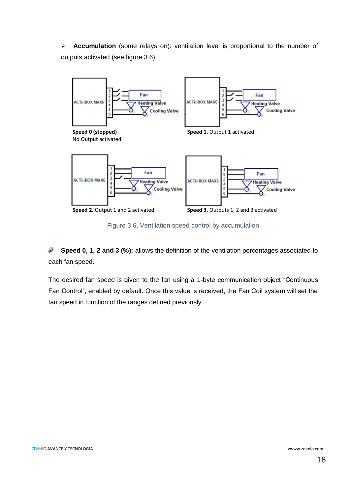**Accumulation** (some relays on): ventilation level is proportional to the number of outputs activated (see figure 3.6).



Figure 3.6. Ventilation speed control by accumulation

S **Speed 0, 1, 2 and 3 (%):** allows the definition of the ventilation percentages associated to each fan speed.

The desired fan speed is given to the fan using a 1-byte communication object "Continuous Fan Control", enabled by default. Once this value is received, the Fan Coil system will set the fan speed in function of the ranges defined previously.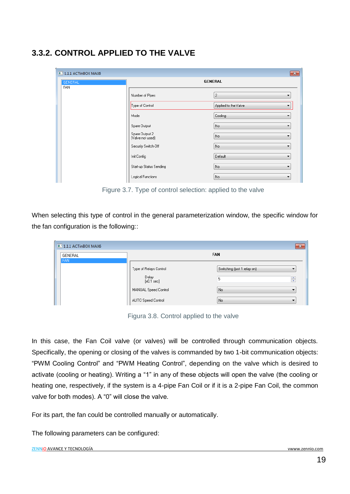## <span id="page-18-0"></span>**3.3.2. CONTROL APPLIED TO THE VALVE**

| $\blacksquare$ 1.1.1 ACTinBOX MAX6<br>$\mathbf{x}$ |                                    |                                     |  |
|----------------------------------------------------|------------------------------------|-------------------------------------|--|
| <b>GENERAL</b>                                     | <b>GENERAL</b>                     |                                     |  |
| FAN                                                | Number of Pipes                    | $\overline{c}$<br>$\mathbf{r}$      |  |
|                                                    | Type of Control                    | Applied to the Valve                |  |
|                                                    | Mode                               | Cooling                             |  |
|                                                    | Spare Output                       | No.<br>₹.                           |  |
|                                                    | Spare Output 2<br>(Valve not used) | No<br>▼                             |  |
|                                                    | Security Switch-Off                | No.<br>$\overline{\phantom{a}}$     |  |
|                                                    | Init Config                        | Default<br>$\overline{\phantom{a}}$ |  |
|                                                    | Start-up Status Sending            | No<br>۰.                            |  |
|                                                    | Logical Functions                  | No<br>▼                             |  |

Figure 3.7. Type of control selection: applied to the valve

When selecting this type of control in the general parameterization window, the specific window for the fan configuration is the following::

| $\blacksquare$ 1.1.1 ACTinBOX MAX6 |                               | $\mathbf{x}$                    |
|------------------------------------|-------------------------------|---------------------------------|
| GENERAL                            |                               | <b>FAN</b>                      |
| <b>FAN</b>                         | Type of Relays Control        | Switching (just 1 relay on)     |
|                                    | Delay<br>$[x0.1 \text{ sec}]$ | $\frac{\triangle}{\pi}$<br>5    |
|                                    | MANUAL Speed Control          | No.<br>$\overline{\phantom{a}}$ |
|                                    | AUTO Speed Control            | No.                             |

Figura 3.8. Control applied to the valve

In this case, the Fan Coil valve (or valves) will be controlled through communication objects. Specifically, the opening or closing of the valves is commanded by two 1-bit communication objects: "PWM Cooling Control" and "PWM Heating Control", depending on the valve which is desired to activate (cooling or heating). Writing a "1" in any of these objects will open the valve (the cooling or heating one, respectively, if the system is a 4-pipe Fan Coil or if it is a 2-pipe Fan Coil, the common valve for both modes). A "0" will close the valve.

For its part, the fan could be controlled manually or automatically.

The following parameters can be configured: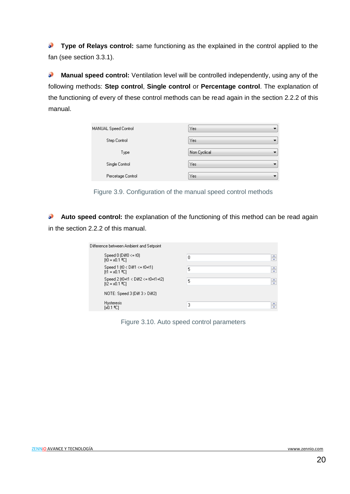50 **Type of Relays control:** same functioning as the explained in the control applied to the fan (see section 3.3.1).

**Manual speed control:** Ventilation level will be controlled independently, using any of the 53 following methods: **Step control**, **Single control** or **Percentage control**. The explanation of the functioning of every of these control methods can be read again in the section 2.2.2 of this manual.

| MANUAL Speed Control | Yes          |
|----------------------|--------------|
| Step Control         | Yes          |
| Type                 | Non Cyclical |
| Single Control       | Yes          |
| Percetage Control    | Yes          |

Figure 3.9. Configuration of the manual speed control methods

S **Auto speed control:** the explanation of the functioning of this method can be read again in the section 2.2.2 of this manual.

| Difference between Ambient and Setpoint |                  |
|-----------------------------------------|------------------|
| Speed $0$ (Diff $0 \leq t0$ )           | ÷                |
| $[10 - x0.1$ °C]                        | ۵                |
| Speed 1 $[t0 < 0$ iff1 $\leq t0+t1$     | ÷                |
| $[t1 = x0.1$ °C1                        | 5                |
| Speed 2 (t0+t1 < Diff2 <= t0+t1+t2)     | ÷                |
| $[t2 = x0.1$ <sup>9</sup> C1            | 5                |
| NOTE: Speed $3$ (Diff $3 >$ Diff2)      |                  |
| <b>Hysteresis</b>                       | $\frac{1}{\tau}$ |
| [x0.1 ºC]                               | 3                |

Figure 3.10. Auto speed control parameters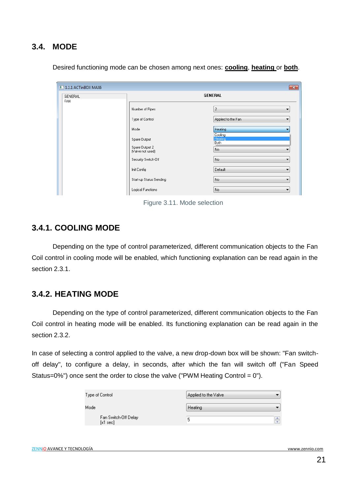### <span id="page-20-0"></span>**3.4. MODE**

| 1.1.1 ACTinBOX MAX6   |                                    | $\mathbf{x}$            |  |  |  |  |
|-----------------------|------------------------------------|-------------------------|--|--|--|--|
| GENERAL<br><b>FAN</b> | <b>GENERAL</b>                     |                         |  |  |  |  |
|                       | Number of Pipes                    | $\overline{c}$<br>▼     |  |  |  |  |
|                       | Type of Control                    | Applied to the Fan<br>▼ |  |  |  |  |
|                       | Mode                               | Heating<br>Cooling      |  |  |  |  |
|                       | Spare Output                       | Heating<br>Both         |  |  |  |  |
|                       | Spare Output 2<br>(Valve not used) | No.                     |  |  |  |  |
|                       | Security Switch-Off                | No.<br>▼                |  |  |  |  |
|                       | Init Config                        | Default<br>▼            |  |  |  |  |
|                       | Start-up Status Sending            | No.<br>▼                |  |  |  |  |
|                       | Logical Functions                  | No.<br>▼                |  |  |  |  |

Desired functioning mode can be chosen among next ones: **cooling**, **heating** or **both**.

Figure 3.11. Mode selection

#### <span id="page-20-1"></span>**3.4.1. COOLING MODE**

Depending on the type of control parameterized, different communication objects to the Fan Coil control in cooling mode will be enabled, which functioning explanation can be read again in the section 2.3.1.

### <span id="page-20-2"></span>**3.4.2. HEATING MODE**

Depending on the type of control parameterized, different communication objects to the Fan Coil control in heating mode will be enabled. Its functioning explanation can be read again in the section 2.3.2.

In case of selecting a control applied to the valve, a new drop-down box will be shown: "Fan switchoff delay", to configure a delay, in seconds, after which the fan will switch off ("Fan Speed Status=0%") once sent the order to close the valve ("PWM Heating Control =  $0$ ").

| Type of Control                     | Applied to the Valve |
|-------------------------------------|----------------------|
| Mode                                | Heating              |
| Fan Switch-Off Delay<br>$[x1 \sec]$ | ÷<br>5               |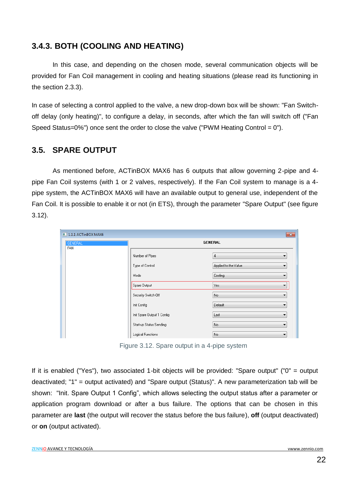### <span id="page-21-0"></span>**3.4.3. BOTH (COOLING AND HEATING)**

In this case, and depending on the chosen mode, several communication objects will be provided for Fan Coil management in cooling and heating situations (please read its functioning in the section 2.3.3).

In case of selecting a control applied to the valve, a new drop-down box will be shown: "Fan Switchoff delay (only heating)", to configure a delay, in seconds, after which the fan will switch off ("Fan Speed Status=0%") once sent the order to close the valve ("PWM Heating Control =  $0$ ").

### <span id="page-21-1"></span>**3.5. SPARE OUTPUT**

As mentioned before, ACTinBOX MAX6 has 6 outputs that allow governing 2-pipe and 4 pipe Fan Coil systems (with 1 or 2 valves, respectively). If the Fan Coil system to manage is a 4 pipe system, the ACTinBOX MAX6 will have an available output to general use, independent of the Fan Coil. It is possible to enable it or not (in ETS), through the parameter "Spare Output" (see figure 3.12).

| 1.1.1 ACTinBOX MAX6   |                            | $\mathbf{x}$              |  |  |  |  |  |
|-----------------------|----------------------------|---------------------------|--|--|--|--|--|
| <b>GENERAL</b><br>FAN | <b>GENERAL</b>             |                           |  |  |  |  |  |
|                       | Number of Pipes            | $\overline{4}$<br>▼       |  |  |  |  |  |
|                       | Type of Control            | Applied to the Valve<br>▼ |  |  |  |  |  |
|                       | Mode                       | Cooling<br>▼              |  |  |  |  |  |
|                       | Spare Output               | Yes<br>▼                  |  |  |  |  |  |
|                       | Security Switch-Off        | No.<br>▼                  |  |  |  |  |  |
|                       | Init Config                | Default<br>▼              |  |  |  |  |  |
|                       | Init Spare Output 1 Config | Last<br>۰                 |  |  |  |  |  |
|                       | Start-up Status Sending    | No.<br>▼                  |  |  |  |  |  |
|                       | Logical Functions          | No.<br>▼                  |  |  |  |  |  |

Figure 3.12. Spare output in a 4-pipe system

If it is enabled ("Yes"), two associated 1-bit objects will be provided: "Spare output" ("0" = output deactivated; "1" = output activated) and "Spare output (Status)". A new parameterization tab will be shown: "Init. Spare Output 1 Config", which allows selecting the output status after a parameter or application program download or after a bus failure. The options that can be chosen in this parameter are **last** (the output will recover the status before the bus failure), **off** (output deactivated) or **on** (output activated).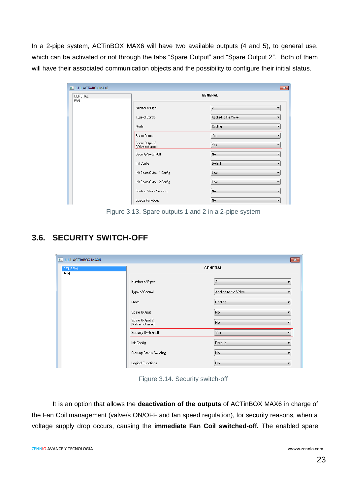In a 2-pipe system, ACTinBOX MAX6 will have two available outputs (4 and 5), to general use, which can be activated or not through the tabs "Spare Output" and "Spare Output 2". Both of them will have their associated communication objects and the possibility to configure their initial status.

| GENERAL |                                    | <b>GENERAL</b>       |  |  |  |  |  |
|---------|------------------------------------|----------------------|--|--|--|--|--|
| FAN     | Number of Pipes                    | $\overline{c}$<br>▼  |  |  |  |  |  |
|         | Type of Control                    | Applied to the Valve |  |  |  |  |  |
|         | Mode                               | Cooling<br>▼         |  |  |  |  |  |
|         | Spare Output                       | Yes<br>▼             |  |  |  |  |  |
|         | Spare Output 2<br>[Valve not used] | Yes                  |  |  |  |  |  |
|         | Security Switch-Off                | No.<br>▼             |  |  |  |  |  |
|         | Init Config                        | Default<br>▼         |  |  |  |  |  |
|         | Init Spare Output 1 Config         | Last<br>▼            |  |  |  |  |  |
|         | Init Spare Output 2 Config         | Last<br>▼            |  |  |  |  |  |
|         | Start-up Status Sending            | No.<br>▼             |  |  |  |  |  |
|         | Logical Functions                  | No.<br>▼             |  |  |  |  |  |

Figure 3.13. Spare outputs 1 and 2 in a 2-pipe system

# <span id="page-22-0"></span>**3.6. SECURITY SWITCH-OFF**

| $\blacksquare$ 1.1.1 ACTinBOX MAX6 |                                    | $-x$                                |  |  |  |  |
|------------------------------------|------------------------------------|-------------------------------------|--|--|--|--|
| <b>GENERAL</b><br>FAN              | <b>GENERAL</b>                     |                                     |  |  |  |  |
|                                    | Number of Pipes                    | $\overline{c}$<br>▼                 |  |  |  |  |
|                                    | Type of Control                    | Applied to the Valve<br>▼           |  |  |  |  |
|                                    | Mode                               | Cooling<br>$\overline{\phantom{a}}$ |  |  |  |  |
|                                    | Spare Output                       | No.<br>▼                            |  |  |  |  |
|                                    | Spare Output 2<br>(Valve not used) | No.<br>▼                            |  |  |  |  |
|                                    | Security Switch-Off                | Yes                                 |  |  |  |  |
|                                    | Init Config                        | Default<br>▼                        |  |  |  |  |
|                                    | Start-up Status Sending            | No.<br>▼                            |  |  |  |  |
|                                    | Logical Functions                  | No.<br>▼                            |  |  |  |  |

Figure 3.14. Security switch-off

It is an option that allows the **deactivation of the outputs** of ACTinBOX MAX6 in charge of the Fan Coil management (valve/s ON/OFF and fan speed regulation), for security reasons, when a voltage supply drop occurs, causing the **immediate Fan Coil switched-off.** The enabled spare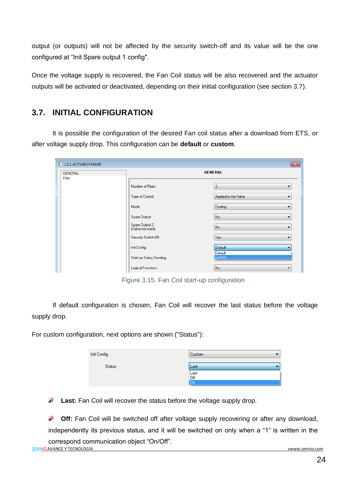output (or outputs) will not be affected by the security switch-off and its value will be the one configured at "Init Spare output 1 config".

Once the voltage supply is recovered, the Fan Coil status will be also recovered and the actuator outputs will be activated or deactivated, depending on their initial configuration (see section 3.7).

### <span id="page-23-0"></span>**3.7. INITIAL CONFIGURATION**

It is possible the configuration of the desired Fan coil status after a download from ETS, or after voltage supply drop. This configuration can be **default** or **custom**.

| $\blacksquare$ 1.1.1 ACTinBOX MAX6 |                                    | $\mathbf{x}$              |  |  |  |  |  |
|------------------------------------|------------------------------------|---------------------------|--|--|--|--|--|
| GENERAL<br><b>FAN</b>              | <b>GENERAL</b>                     |                           |  |  |  |  |  |
|                                    | Number of Pipes                    | $\overline{c}$<br>▼       |  |  |  |  |  |
|                                    | Type of Control                    | Applied to the Valve<br>▼ |  |  |  |  |  |
|                                    | Mode                               | Cooling<br>▼              |  |  |  |  |  |
|                                    | Spare Output                       | No<br>۰                   |  |  |  |  |  |
|                                    | Spare Output 2<br>(Valve not used) | No<br>▼                   |  |  |  |  |  |
|                                    | Security Switch-Off                | Yes<br>۰                  |  |  |  |  |  |
|                                    | Init Config                        | Default                   |  |  |  |  |  |
|                                    | Start-up Status Sending            | Default<br>Custom         |  |  |  |  |  |
|                                    | Logical Functions                  | No.<br>▼                  |  |  |  |  |  |

Figure 3.15. Fan Coil start-up configuration

If default configuration is chosen, Fan Coil will recover the last status before the voltage supply drop.

For custom configuration, next options are shown ("Status"):

| Init Config   | <b>Custom</b>     |
|---------------|-------------------|
| <b>Status</b> | Last              |
|               | Last<br>Off<br>On |
|               |                   |

**Last:** Fan Coil will recover the status before the voltage supply drop.

**Off:** Fan Coil will be switched off after voltage supply recovering or after any download,  $\mathbf{L}$ independently its previous status, and it will be switched on only when a "1" is written in the correspond communication object "On/Off".ZENNiO AVANCE Y TECNOLOGÍA vwww.zennio.com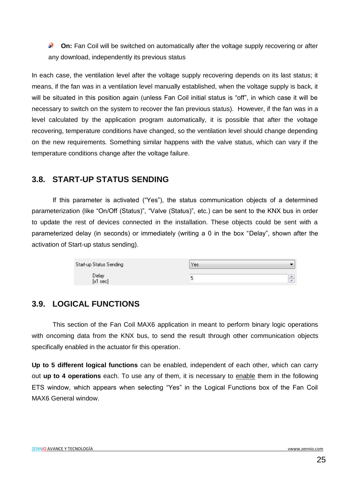**On:** Fan Coil will be switched on automatically after the voltage supply recovering or after **SP** any download, independently its previous status

In each case, the ventilation level after the voltage supply recovering depends on its last status; it means, if the fan was in a ventilation level manually established, when the voltage supply is back, it will be situated in this position again (unless Fan Coil initial status is "off", in which case it will be necessary to switch on the system to recover the fan previous status). However, if the fan was in a level calculated by the application program automatically, it is possible that after the voltage recovering, temperature conditions have changed, so the ventilation level should change depending on the new requirements. Something similar happens with the valve status, which can vary if the temperature conditions change after the voltage failure.

### <span id="page-24-0"></span>**3.8. START-UP STATUS SENDING**

If this parameter is activated ("Yes"), the status communication objects of a determined parameterization (like "On/Off (Status)", "Valve (Status)", etc.) can be sent to the KNX bus in order to update the rest of devices connected in the installation. These objects could be sent with a parameterized delay (in seconds) or immediately (writing a 0 in the box "Delay", shown after the activation of Start-up status sending).

| Start-up Status Sending | Yes. |              |
|-------------------------|------|--------------|
| Delay<br>$[x1 \sec]$    |      | $\mathbf{v}$ |

### <span id="page-24-1"></span>**3.9. LOGICAL FUNCTIONS**

This section of the Fan Coil MAX6 application in meant to perform binary logic operations with oncoming data from the KNX bus, to send the result through other communication objects specifically enabled in the actuator fir this operation.

**Up to 5 different logical functions** can be enabled, independent of each other, which can carry out **up to 4 operations** each. To use any of them, it is necessary to enable them in the following ETS window, which appears when selecting "Yes" in the Logical Functions box of the Fan Coil MAX6 General window.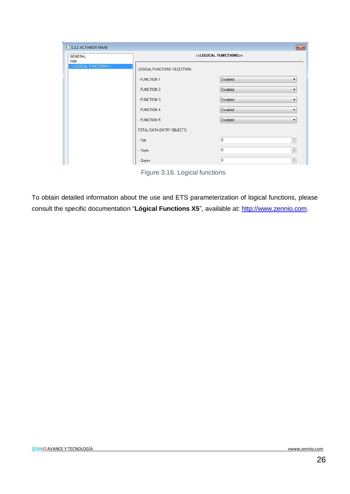| $\blacksquare$ 1.1.1 ACTinBOX MAX6     |                                        | $\mathbf{x}$       |  |  |  |  |  |  |  |
|----------------------------------------|----------------------------------------|--------------------|--|--|--|--|--|--|--|
| GENERAL<br><b>FAN</b>                  | < <logical functions="">&gt;</logical> |                    |  |  |  |  |  |  |  |
| < <logical functions="">&gt;</logical> | LOGICAL FUNCTIONS SELECTION:           |                    |  |  |  |  |  |  |  |
|                                        | - FUNCTION 1                           | Disabled<br>▼      |  |  |  |  |  |  |  |
|                                        | - FUNCTION 2                           | Disabled<br>▼      |  |  |  |  |  |  |  |
|                                        | - FUNCTION 3                           | Disabled<br>▼      |  |  |  |  |  |  |  |
|                                        | - FUNCTION 4                           | Disabled<br>▼      |  |  |  |  |  |  |  |
|                                        | - FUNCTION 5                           | Disabled<br>۰      |  |  |  |  |  |  |  |
|                                        | TOTAL DATA ENTRY OBJECTS:              |                    |  |  |  |  |  |  |  |
|                                        | $-1bit$                                | $\frac{1}{x}$<br>0 |  |  |  |  |  |  |  |
|                                        | -1byte                                 | ÷<br>0             |  |  |  |  |  |  |  |
|                                        | - 2bytes                               | ÷<br>0             |  |  |  |  |  |  |  |

Figure 3.16. Logical functions

To obtain detailed information about the use and ETS parameterization of logical functions, please consult the specific documentation "**Lógical Functions X5**", available at: [http://www.zennio.com.](http://www.zennio.com/)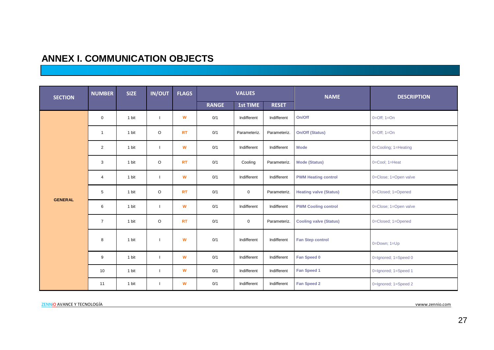# **ANNEX I. COMMUNICATION OBJECTS**

<span id="page-26-0"></span>

| <b>SECTION</b> | <b>NUMBER</b>  | <b>SIZE</b> | <b>IN/OUT</b> | <b>FLAGS</b> |              | <b>VALUES</b> |              | <b>NAME</b>                   | <b>DESCRIPTION</b>    |
|----------------|----------------|-------------|---------------|--------------|--------------|---------------|--------------|-------------------------------|-----------------------|
|                |                |             |               |              | <b>RANGE</b> | 1st TIME      | <b>RESET</b> |                               |                       |
|                | $\mathbf 0$    | 1 bit       |               | W            | 0/1          | Indifferent   | Indifferent  | On/Off                        | $0=Off$ ; $1=On$      |
|                | $\mathbf{1}$   | 1 bit       | O             | <b>RT</b>    | 0/1          | Parameteriz.  | Parameteriz. | On/Off (Status)               | $0=Off; 1=On$         |
|                | 2              | 1 bit       |               | W            | 0/1          | Indifferent   | Indifferent  | <b>Mode</b>                   | 0=Cooling; 1=Heating  |
|                | 3              | 1 bit       | $\circ$       | <b>RT</b>    | 0/1          | Cooling       | Parameteriz. | <b>Mode (Status)</b>          | 0=Cool; 1=Heat        |
|                | 4              | 1 bit       |               | W            | 0/1          | Indifferent   | Indifferent  | <b>PWM Heating control</b>    | 0=Close; 1=Open valve |
| <b>GENERAL</b> | 5              | 1 bit       | $\circ$       | <b>RT</b>    | 0/1          | $\mathbf 0$   | Parameteriz. | <b>Heating valve (Status)</b> | 0=Closed; 1=Opened    |
|                | 6              | 1 bit       |               | W            | 0/1          | Indifferent   | Indifferent  | <b>PWM Cooling control</b>    | 0=Close; 1=Open valve |
|                | $\overline{7}$ | 1 bit       | $\circ$       | <b>RT</b>    | 0/1          | $\mathbf 0$   | Parameteriz. | <b>Cooling valve (Status)</b> | 0=Closed; 1=Opened    |
|                | 8              | 1 bit       |               | W            | 0/1          | Indifferent   | Indifferent  | <b>Fan Step control</b>       | 0=Down; 1=Up          |
|                | 9              | 1 bit       |               | W            | 0/1          | Indifferent   | Indifferent  | Fan Speed 0                   | 0=Ignored; 1=Speed 0  |
|                | 10             | 1 bit       |               | W            | 0/1          | Indifferent   | Indifferent  | Fan Speed 1                   | 0=Ignored; 1=Speed 1  |
|                | 11             | 1 bit       |               | W            | 0/1          | Indifferent   | Indifferent  | Fan Speed 2                   | 0=Ignored; 1=Speed 2  |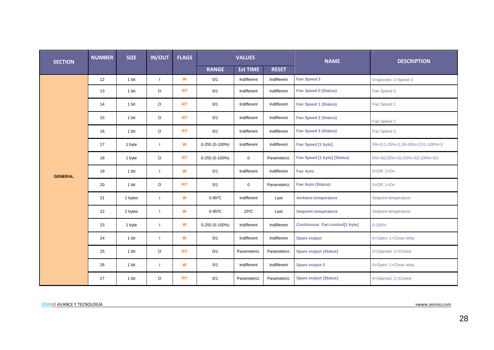| <b>SECTION</b> | <b>NUMBER</b> | <b>SIZE</b> | <b>IN/OUT</b>            | <b>FLAGS</b> |                | <b>VALUES</b>   |              | <b>NAME</b>                    | <b>DESCRIPTION</b>              |
|----------------|---------------|-------------|--------------------------|--------------|----------------|-----------------|--------------|--------------------------------|---------------------------------|
|                |               |             |                          |              | <b>RANGE</b>   | <b>1st TIME</b> | <b>RESET</b> |                                |                                 |
|                | 12            | 1 bit       | $\mathbf{I}$             | W            | 0/1            | Indifferent     | Indifferent  | Fan Speed 3                    | 0=Ignored; 1=Speed 3            |
|                | 13            | 1 bit       | $\circ$                  | <b>RT</b>    | 0/1            | Indifferent     | Indifferent  | Fan Speed 0 (Status)           | Fan Speed 0                     |
|                | 14            | 1 bit       | $\circ$                  | <b>RT</b>    | 0/1            | Indifferent     | Indifferent  | <b>Fan Speed 1 (Status)</b>    | Fan Speed 1                     |
|                | 15            | 1 bit       | $\circ$                  | <b>RT</b>    | 0/1            | Indifferent     | Indifferent  | <b>Fan Speed 2 (Status)</b>    | Fan Speed 2                     |
|                | 16            | 1 bit       | $\circ$                  | <b>RT</b>    | 0/1            | Indifferent     | Indifferent  | <b>Fan Speed 3 (Status)</b>    | Fan Speed 3                     |
|                | 17            | 1 byte      | $\overline{\phantom{a}}$ | W            | 0-255 (0-100%) | Indifferent     | Indifferent  | Fan Speed [1 byte]             | 0%=0;1-25%=1;26-50%=2;51-100%=3 |
|                | 18            | 1 byte      | O                        | <b>RT</b>    | 0-255 (0-100%) | $\mathsf 0$     | Parameteriz. | Fan Speed [1 byte] (Status)    | 0%=S0;25%=S1;50%=S2;100%=S3     |
| <b>GENERAL</b> | 19            | 1 bit       | ı                        | W            | 0/1            | Indifferent     | Indifferent  | <b>Fan Auto</b>                | $0=Off; 1=On$                   |
|                | 20            | 1 bit       | $\circ$                  | <b>RT</b>    | 0/1            | $\mathbf 0$     | Parameteriz. | <b>Fan Auto (Status)</b>       | $0=Off; 1=On$                   |
|                | 21            | 2 bytes     | ı                        | W            | 0-95°C         | Indifferent     | Last         | <b>Ambient temperature</b>     | Setpoint temperature            |
|                | 22            | 2 bytes     | $\mathbf{I}$             | W            | $0-95$ °C      | $25^{\circ}$ C  | Last         | <b>Setpoint temperature</b>    | Setpoint temperature            |
|                | 23            | 1 byte      |                          | W            | 0-255 (0-100%) | Indifferent     | Indifferent  | Continuous Fan control[1 byte] | $0 - 100%$                      |
|                | 24            | 1 bit       | $\overline{\phantom{a}}$ | W            | 0/1            | Indifferent     | Indifferent  | <b>Spare output</b>            | 0=Open; 1=Close relay           |
|                | 25            | 1 bit       | $\circ$                  | <b>RT</b>    | 0/1            | Parameteriz.    | Parameteriz. | <b>Spare output (Status)</b>   | 0=Opened; 1=Closed              |
|                | 26            | 1 bit       | $\mathbf{I}$             | W            | 0/1            | Indifferent     | Indifferent  | Spare output 2                 | 0=Open; 1=Close relay           |
|                | 27            | 1 bit       | O                        | <b>RT</b>    | 0/1            | Parameteriz.    | Parameteriz. | <b>Spare output (Status)</b>   | 0=Opened; 1=Closed              |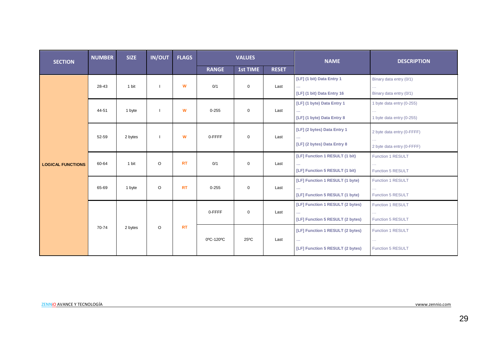| <b>SECTION</b>           | <b>NUMBER</b> | <b>SIZE</b> | <b>IN/OUT</b>                         | <b>FLAGS</b> |                                       | <b>VALUES</b>                          |              | <b>NAME</b>                                      | <b>DESCRIPTION</b>                     |
|--------------------------|---------------|-------------|---------------------------------------|--------------|---------------------------------------|----------------------------------------|--------------|--------------------------------------------------|----------------------------------------|
|                          |               |             |                                       |              | <b>RANGE</b>                          | 1st TIME                               | <b>RESET</b> |                                                  |                                        |
|                          |               |             |                                       |              |                                       |                                        |              | [LF] (1 bit) Data Entry 1                        | Binary data entry (0/1)                |
|                          | 28-43         | 1 bit       |                                       | W            | 0/1                                   | 0                                      | Last         | [LF] (1 bit) Data Entry 16                       | Binary data entry (0/1)                |
|                          |               |             |                                       |              |                                       |                                        |              | [LF] (1 byte) Data Entry 1                       | 1 byte data entry (0-255)              |
|                          | 44-51         | 1 byte      | $\blacksquare$                        | W            | $0 - 255$                             | $\mathbf 0$                            | Last         | $\sim$ $\sim$<br>[LF] (1 byte) Data Entry 8      | $\sim$ .<br>1 byte data entry (0-255)  |
|                          |               |             |                                       |              |                                       |                                        |              | [LF] (2 bytes) Data Entry 1                      | 2 byte data entry (0-FFFF)             |
|                          | 52-59         |             | 0-FFFF<br>$\mathbf 0$<br>2 bytes<br>W | Last         | $\sim$<br>[LF] (2 bytes) Data Entry 8 | $\sim$ .<br>2 byte data entry (0-FFFF) |              |                                                  |                                        |
|                          |               |             |                                       |              |                                       |                                        |              | [LF] Function 1 RESULT (1 bit)                   | <b>Function 1 RESULT</b>               |
| <b>LOGICAL FUNCTIONS</b> | 60-64         | 1 bit       | $\circ$                               | <b>RT</b>    | 0/1                                   | 0                                      | Last         | [LF] Function 5 RESULT (1 bit)                   | <b>Function 5 RESULT</b>               |
|                          |               |             |                                       |              |                                       |                                        |              | [LF] Function 1 RESULT (1 byte)                  | <b>Function 1 RESULT</b>               |
|                          | 65-69         | 1 byte      | $\circ$                               | <b>RT</b>    | $0 - 255$                             | $\mathbf 0$                            | Last         | $\sim$ $\sim$<br>[LF] Function 5 RESULT (1 byte) | $\ldots$<br><b>Function 5 RESULT</b>   |
|                          |               |             |                                       |              |                                       |                                        |              | [LF] Function 1 RESULT (2 bytes)                 | Function 1 RESULT                      |
|                          |               |             |                                       |              | 0-FFFF                                | $\mathbf 0$                            | Last         | $\sim$<br>[LF] Function 5 RESULT (2 bytes)       | $\sim 100$<br><b>Function 5 RESULT</b> |
|                          | 70-74         | 2 bytes     | $\circ$                               | <b>RT</b>    |                                       |                                        |              | [LF] Function 1 RESULT (2 bytes)                 | <b>Function 1 RESULT</b>               |
|                          |               |             |                                       |              | 0°C-120°C                             | $25^{\circ}$ C                         | Last         | $\mathcal{L}_{\mathcal{F}}$                      | $\sim 100$                             |
|                          |               |             |                                       |              |                                       |                                        |              | [LF] Function 5 RESULT (2 bytes)                 | <b>Function 5 RESULT</b>               |